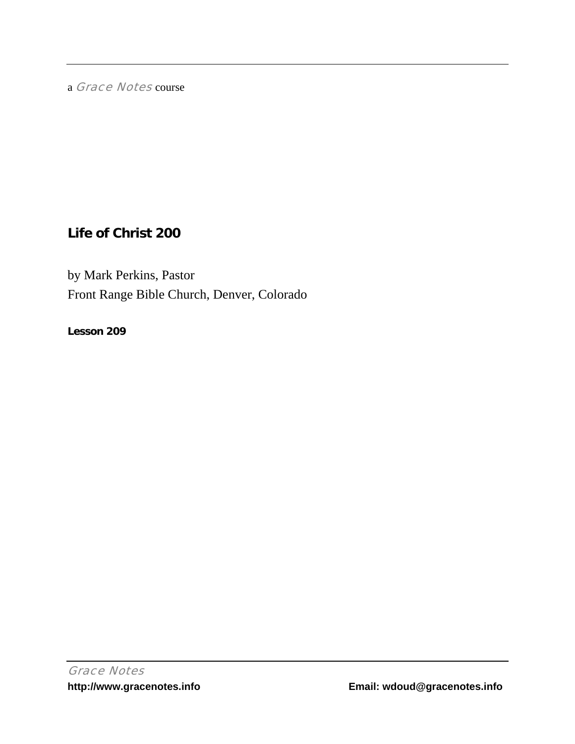a Grace Notes course

# **Life of Christ 200**

by Mark Perkins, Pastor Front Range Bible Church, Denver, Colorado

**Lesson 209**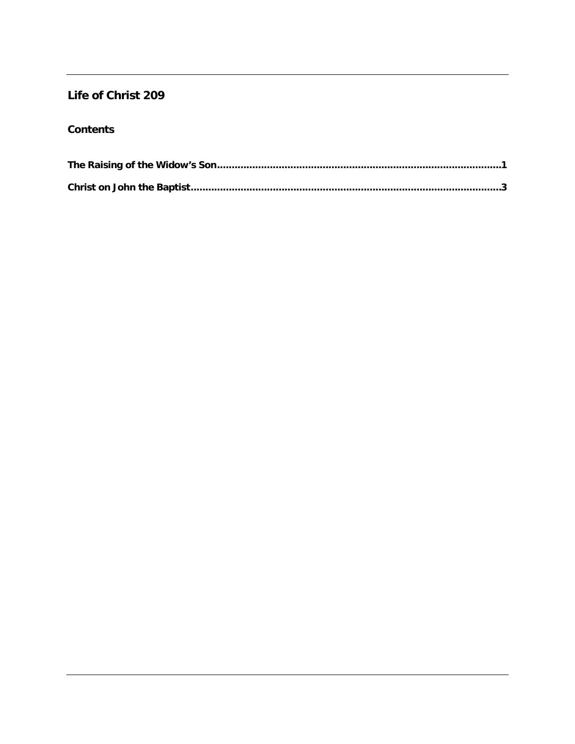## Life of Christ 209

## **Contents**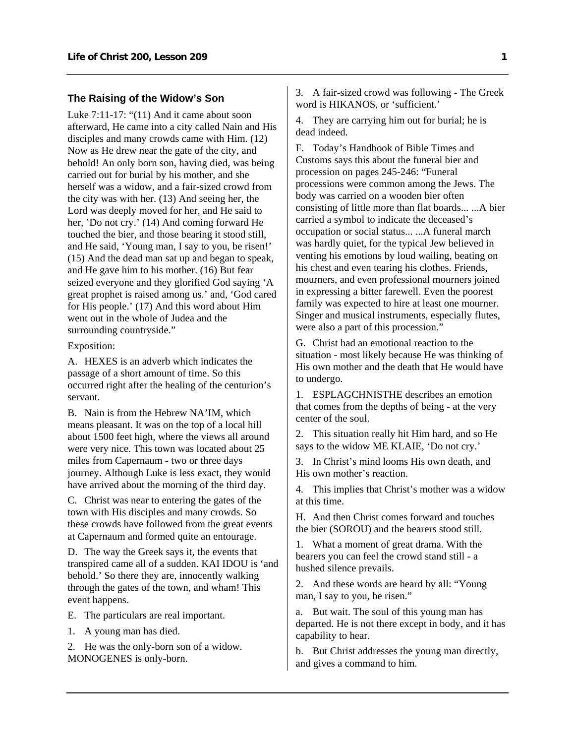### <span id="page-2-0"></span>**The Raising of the Widow's Son**

Luke 7:11-17: "(11) And it came about soon afterward, He came into a city called Nain and His disciples and many crowds came with Him. (12) Now as He drew near the gate of the city, and behold! An only born son, having died, was being carried out for burial by his mother, and she herself was a widow, and a fair-sized crowd from the city was with her. (13) And seeing her, the Lord was deeply moved for her, and He said to her, 'Do not cry.' (14) And coming forward He touched the bier, and those bearing it stood still, and He said, 'Young man, I say to you, be risen!' (15) And the dead man sat up and began to speak, and He gave him to his mother. (16) But fear seized everyone and they glorified God saying 'A great prophet is raised among us.' and, 'God cared for His people.' (17) And this word about Him went out in the whole of Judea and the surrounding countryside."

Exposition:

A. HEXES is an adverb which indicates the passage of a short amount of time. So this occurred right after the healing of the centurion's servant.

B. Nain is from the Hebrew NA'IM, which means pleasant. It was on the top of a local hill about 1500 feet high, where the views all around were very nice. This town was located about 25 miles from Capernaum - two or three days journey. Although Luke is less exact, they would have arrived about the morning of the third day.

C. Christ was near to entering the gates of the town with His disciples and many crowds. So these crowds have followed from the great events at Capernaum and formed quite an entourage.

D. The way the Greek says it, the events that transpired came all of a sudden. KAI IDOU is 'and behold.' So there they are, innocently walking through the gates of the town, and wham! This event happens.

E. The particulars are real important.

1. A young man has died.

2. He was the only-born son of a widow. MONOGENES is only-born.

3. A fair-sized crowd was following - The Greek word is HIKANOS, or 'sufficient.'

4. They are carrying him out for burial; he is dead indeed.

F. Today's Handbook of Bible Times and Customs says this about the funeral bier and procession on pages 245-246: "Funeral processions were common among the Jews. The body was carried on a wooden bier often consisting of little more than flat boards... ...A bier carried a symbol to indicate the deceased's occupation or social status... ...A funeral march was hardly quiet, for the typical Jew believed in venting his emotions by loud wailing, beating on his chest and even tearing his clothes. Friends, mourners, and even professional mourners joined in expressing a bitter farewell. Even the poorest family was expected to hire at least one mourner. Singer and musical instruments, especially flutes, were also a part of this procession."

G. Christ had an emotional reaction to the situation - most likely because He was thinking of His own mother and the death that He would have to undergo.

1. ESPLAGCHNISTHE describes an emotion that comes from the depths of being - at the very center of the soul.

2. This situation really hit Him hard, and so He says to the widow ME KLAIE, 'Do not cry.'

3. In Christ's mind looms His own death, and His own mother's reaction.

4. This implies that Christ's mother was a widow at this time.

H. And then Christ comes forward and touches the bier (SOROU) and the bearers stood still.

1. What a moment of great drama. With the bearers you can feel the crowd stand still - a hushed silence prevails.

2. And these words are heard by all: "Young man, I say to you, be risen."

a. But wait. The soul of this young man has departed. He is not there except in body, and it has capability to hear.

b. But Christ addresses the young man directly, and gives a command to him.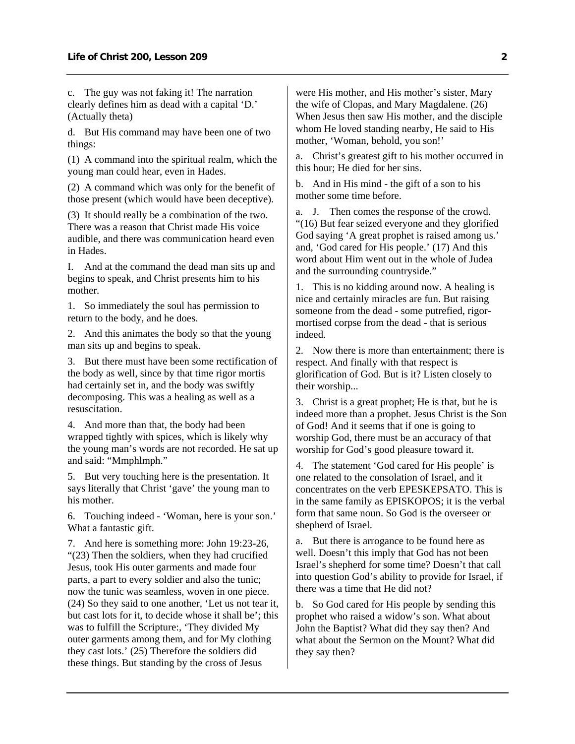c. The guy was not faking it! The narration clearly defines him as dead with a capital 'D.' (Actually theta)

d. But His command may have been one of two things:

(1) A command into the spiritual realm, which the young man could hear, even in Hades.

(2) A command which was only for the benefit of those present (which would have been deceptive).

(3) It should really be a combination of the two. There was a reason that Christ made His voice audible, and there was communication heard even in Hades.

I. And at the command the dead man sits up and begins to speak, and Christ presents him to his mother.

1. So immediately the soul has permission to return to the body, and he does.

2. And this animates the body so that the young man sits up and begins to speak.

3. But there must have been some rectification of the body as well, since by that time rigor mortis had certainly set in, and the body was swiftly decomposing. This was a healing as well as a resuscitation.

4. And more than that, the body had been wrapped tightly with spices, which is likely why the young man's words are not recorded. He sat up and said: "Mmphlmph."

5. But very touching here is the presentation. It says literally that Christ 'gave' the young man to his mother.

6. Touching indeed - 'Woman, here is your son.' What a fantastic gift.

7. And here is something more: John 19:23-26, "(23) Then the soldiers, when they had crucified Jesus, took His outer garments and made four parts, a part to every soldier and also the tunic; now the tunic was seamless, woven in one piece. (24) So they said to one another, 'Let us not tear it, but cast lots for it, to decide whose it shall be'; this was to fulfill the Scripture:, 'They divided My outer garments among them, and for My clothing they cast lots.' (25) Therefore the soldiers did these things. But standing by the cross of Jesus

were His mother, and His mother's sister, Mary the wife of Clopas, and Mary Magdalene. (26) When Jesus then saw His mother, and the disciple whom He loved standing nearby, He said to His mother, 'Woman, behold, you son!'

a. Christ's greatest gift to his mother occurred in this hour; He died for her sins.

b. And in His mind - the gift of a son to his mother some time before.

a. J. Then comes the response of the crowd. "(16) But fear seized everyone and they glorified God saying 'A great prophet is raised among us.' and, 'God cared for His people.' (17) And this word about Him went out in the whole of Judea and the surrounding countryside."

1. This is no kidding around now. A healing is nice and certainly miracles are fun. But raising someone from the dead - some putrefied, rigormortised corpse from the dead - that is serious indeed.

2. Now there is more than entertainment; there is respect. And finally with that respect is glorification of God. But is it? Listen closely to their worship...

3. Christ is a great prophet; He is that, but he is indeed more than a prophet. Jesus Christ is the Son of God! And it seems that if one is going to worship God, there must be an accuracy of that worship for God's good pleasure toward it.

4. The statement 'God cared for His people' is one related to the consolation of Israel, and it concentrates on the verb EPESKEPSATO. This is in the same family as EPISKOPOS; it is the verbal form that same noun. So God is the overseer or shepherd of Israel.

a. But there is arrogance to be found here as well. Doesn't this imply that God has not been Israel's shepherd for some time? Doesn't that call into question God's ability to provide for Israel, if there was a time that He did not?

b. So God cared for His people by sending this prophet who raised a widow's son. What about John the Baptist? What did they say then? And what about the Sermon on the Mount? What did they say then?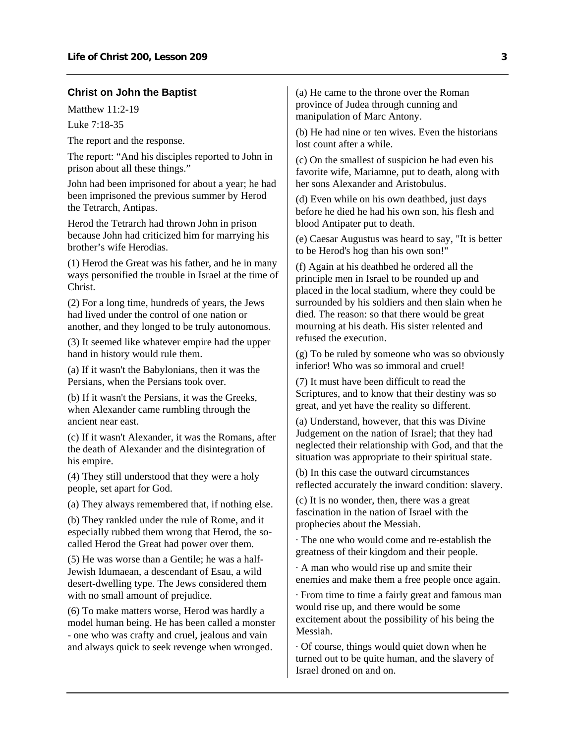#### <span id="page-4-0"></span>**Christ on John the Baptist**

Matthew 11:2-19

Luke 7:18-35

The report and the response.

The report: "And his disciples reported to John in prison about all these things."

John had been imprisoned for about a year; he had been imprisoned the previous summer by Herod the Tetrarch, Antipas.

Herod the Tetrarch had thrown John in prison because John had criticized him for marrying his brother's wife Herodias.

(1) Herod the Great was his father, and he in many ways personified the trouble in Israel at the time of Christ.

(2) For a long time, hundreds of years, the Jews had lived under the control of one nation or another, and they longed to be truly autonomous.

(3) It seemed like whatever empire had the upper hand in history would rule them.

(a) If it wasn't the Babylonians, then it was the Persians, when the Persians took over.

(b) If it wasn't the Persians, it was the Greeks, when Alexander came rumbling through the ancient near east.

(c) If it wasn't Alexander, it was the Romans, after the death of Alexander and the disintegration of his empire.

(4) They still understood that they were a holy people, set apart for God.

(a) They always remembered that, if nothing else.

(b) They rankled under the rule of Rome, and it especially rubbed them wrong that Herod, the socalled Herod the Great had power over them.

(5) He was worse than a Gentile; he was a half-Jewish Idumaean, a descendant of Esau, a wild desert-dwelling type. The Jews considered them with no small amount of prejudice.

(6) To make matters worse, Herod was hardly a model human being. He has been called a monster - one who was crafty and cruel, jealous and vain and always quick to seek revenge when wronged.

(a) He came to the throne over the Roman province of Judea through cunning and manipulation of Marc Antony.

(b) He had nine or ten wives. Even the historians lost count after a while.

(c) On the smallest of suspicion he had even his favorite wife, Mariamne, put to death, along with her sons Alexander and Aristobulus.

(d) Even while on his own deathbed, just days before he died he had his own son, his flesh and blood Antipater put to death.

(e) Caesar Augustus was heard to say, "It is better to be Herod's hog than his own son!"

(f) Again at his deathbed he ordered all the principle men in Israel to be rounded up and placed in the local stadium, where they could be surrounded by his soldiers and then slain when he died. The reason: so that there would be great mourning at his death. His sister relented and refused the execution.

(g) To be ruled by someone who was so obviously inferior! Who was so immoral and cruel!

(7) It must have been difficult to read the Scriptures, and to know that their destiny was so great, and yet have the reality so different.

(a) Understand, however, that this was Divine Judgement on the nation of Israel; that they had neglected their relationship with God, and that the situation was appropriate to their spiritual state.

(b) In this case the outward circumstances reflected accurately the inward condition: slavery.

(c) It is no wonder, then, there was a great fascination in the nation of Israel with the prophecies about the Messiah.

· The one who would come and re-establish the greatness of their kingdom and their people.

· A man who would rise up and smite their enemies and make them a free people once again.

· From time to time a fairly great and famous man would rise up, and there would be some excitement about the possibility of his being the Messiah.

· Of course, things would quiet down when he turned out to be quite human, and the slavery of Israel droned on and on.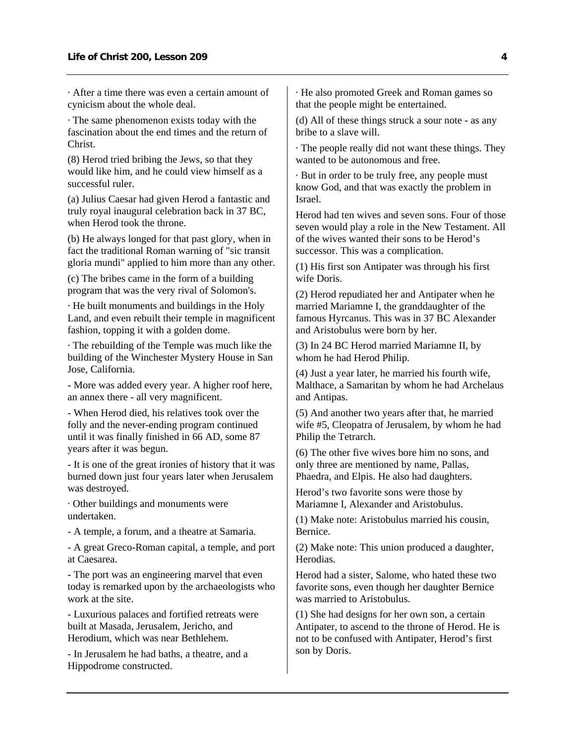· After a time there was even a certain amount of cynicism about the whole deal.

· The same phenomenon exists today with the fascination about the end times and the return of Christ.

(8) Herod tried bribing the Jews, so that they would like him, and he could view himself as a successful ruler.

(a) Julius Caesar had given Herod a fantastic and truly royal inaugural celebration back in 37 BC, when Herod took the throne.

(b) He always longed for that past glory, when in fact the traditional Roman warning of "sic transit gloria mundi" applied to him more than any other.

(c) The bribes came in the form of a building program that was the very rival of Solomon's.

· He built monuments and buildings in the Holy Land, and even rebuilt their temple in magnificent fashion, topping it with a golden dome.

· The rebuilding of the Temple was much like the building of the Winchester Mystery House in San Jose, California.

- More was added every year. A higher roof here, an annex there - all very magnificent.

- When Herod died, his relatives took over the folly and the never-ending program continued until it was finally finished in 66 AD, some 87 years after it was begun.

- It is one of the great ironies of history that it was burned down just four years later when Jerusalem was destroyed.

· Other buildings and monuments were undertaken.

- A temple, a forum, and a theatre at Samaria.

- A great Greco-Roman capital, a temple, and port at Caesarea.

- The port was an engineering marvel that even today is remarked upon by the archaeologists who work at the site.

- Luxurious palaces and fortified retreats were built at Masada, Jerusalem, Jericho, and Herodium, which was near Bethlehem.

- In Jerusalem he had baths, a theatre, and a Hippodrome constructed.

· He also promoted Greek and Roman games so that the people might be entertained.

(d) All of these things struck a sour note - as any bribe to a slave will.

· The people really did not want these things. They wanted to be autonomous and free.

· But in order to be truly free, any people must know God, and that was exactly the problem in Israel.

Herod had ten wives and seven sons. Four of those seven would play a role in the New Testament. All of the wives wanted their sons to be Herod's successor. This was a complication.

(1) His first son Antipater was through his first wife Doris.

(2) Herod repudiated her and Antipater when he married Mariamne I, the granddaughter of the famous Hyrcanus. This was in 37 BC Alexander and Aristobulus were born by her.

(3) In 24 BC Herod married Mariamne II, by whom he had Herod Philip.

(4) Just a year later, he married his fourth wife, Malthace, a Samaritan by whom he had Archelaus and Antipas.

(5) And another two years after that, he married wife #5, Cleopatra of Jerusalem, by whom he had Philip the Tetrarch.

(6) The other five wives bore him no sons, and only three are mentioned by name, Pallas, Phaedra, and Elpis. He also had daughters.

Herod's two favorite sons were those by Mariamne I, Alexander and Aristobulus.

(1) Make note: Aristobulus married his cousin, Bernice.

(2) Make note: This union produced a daughter, Herodias.

Herod had a sister, Salome, who hated these two favorite sons, even though her daughter Bernice was married to Aristobulus.

(1) She had designs for her own son, a certain Antipater, to ascend to the throne of Herod. He is not to be confused with Antipater, Herod's first son by Doris.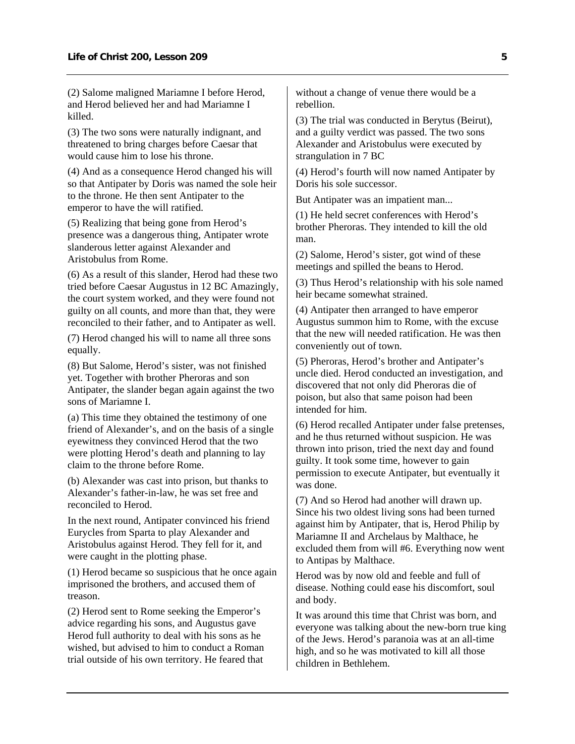(2) Salome maligned Mariamne I before Herod, and Herod believed her and had Mariamne I killed.

(3) The two sons were naturally indignant, and threatened to bring charges before Caesar that would cause him to lose his throne.

(4) And as a consequence Herod changed his will so that Antipater by Doris was named the sole heir to the throne. He then sent Antipater to the emperor to have the will ratified.

(5) Realizing that being gone from Herod's presence was a dangerous thing, Antipater wrote slanderous letter against Alexander and Aristobulus from Rome.

(6) As a result of this slander, Herod had these two tried before Caesar Augustus in 12 BC Amazingly, the court system worked, and they were found not guilty on all counts, and more than that, they were reconciled to their father, and to Antipater as well.

(7) Herod changed his will to name all three sons equally.

(8) But Salome, Herod's sister, was not finished yet. Together with brother Pheroras and son Antipater, the slander began again against the two sons of Mariamne I.

(a) This time they obtained the testimony of one friend of Alexander's, and on the basis of a single eyewitness they convinced Herod that the two were plotting Herod's death and planning to lay claim to the throne before Rome.

(b) Alexander was cast into prison, but thanks to Alexander's father-in-law, he was set free and reconciled to Herod.

In the next round, Antipater convinced his friend Eurycles from Sparta to play Alexander and Aristobulus against Herod. They fell for it, and were caught in the plotting phase.

(1) Herod became so suspicious that he once again imprisoned the brothers, and accused them of treason.

(2) Herod sent to Rome seeking the Emperor's advice regarding his sons, and Augustus gave Herod full authority to deal with his sons as he wished, but advised to him to conduct a Roman trial outside of his own territory. He feared that

without a change of venue there would be a rebellion.

(3) The trial was conducted in Berytus (Beirut), and a guilty verdict was passed. The two sons Alexander and Aristobulus were executed by strangulation in 7 BC

(4) Herod's fourth will now named Antipater by Doris his sole successor.

But Antipater was an impatient man...

(1) He held secret conferences with Herod's brother Pheroras. They intended to kill the old man.

(2) Salome, Herod's sister, got wind of these meetings and spilled the beans to Herod.

(3) Thus Herod's relationship with his sole named heir became somewhat strained.

(4) Antipater then arranged to have emperor Augustus summon him to Rome, with the excuse that the new will needed ratification. He was then conveniently out of town.

(5) Pheroras, Herod's brother and Antipater's uncle died. Herod conducted an investigation, and discovered that not only did Pheroras die of poison, but also that same poison had been intended for him.

(6) Herod recalled Antipater under false pretenses, and he thus returned without suspicion. He was thrown into prison, tried the next day and found guilty. It took some time, however to gain permission to execute Antipater, but eventually it was done.

(7) And so Herod had another will drawn up. Since his two oldest living sons had been turned against him by Antipater, that is, Herod Philip by Mariamne II and Archelaus by Malthace, he excluded them from will #6. Everything now went to Antipas by Malthace.

Herod was by now old and feeble and full of disease. Nothing could ease his discomfort, soul and body.

It was around this time that Christ was born, and everyone was talking about the new-born true king of the Jews. Herod's paranoia was at an all-time high, and so he was motivated to kill all those children in Bethlehem.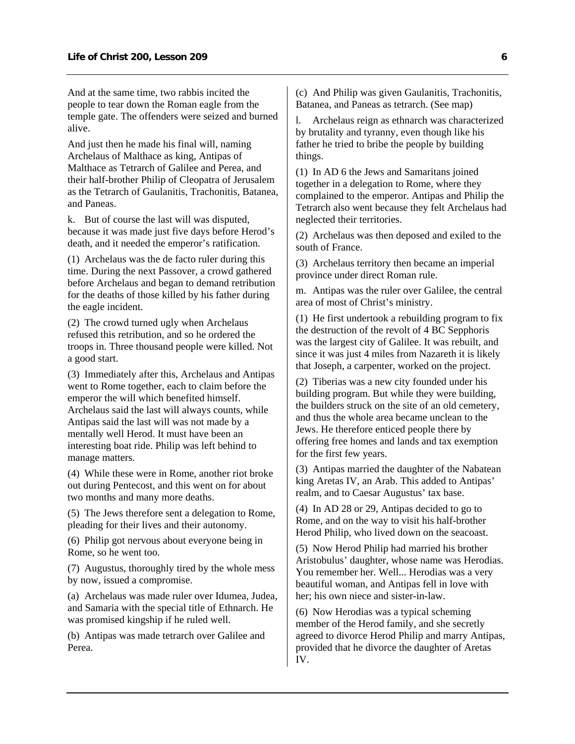And at the same time, two rabbis incited the people to tear down the Roman eagle from the temple gate. The offenders were seized and burned alive.

And just then he made his final will, naming Archelaus of Malthace as king, Antipas of Malthace as Tetrarch of Galilee and Perea, and their half-brother Philip of Cleopatra of Jerusalem as the Tetrarch of Gaulanitis, Trachonitis, Batanea, and Paneas.

k. But of course the last will was disputed, because it was made just five days before Herod's death, and it needed the emperor's ratification.

(1) Archelaus was the de facto ruler during this time. During the next Passover, a crowd gathered before Archelaus and began to demand retribution for the deaths of those killed by his father during the eagle incident.

(2) The crowd turned ugly when Archelaus refused this retribution, and so he ordered the troops in. Three thousand people were killed. Not a good start.

(3) Immediately after this, Archelaus and Antipas went to Rome together, each to claim before the emperor the will which benefited himself. Archelaus said the last will always counts, while Antipas said the last will was not made by a mentally well Herod. It must have been an interesting boat ride. Philip was left behind to manage matters.

(4) While these were in Rome, another riot broke out during Pentecost, and this went on for about two months and many more deaths.

(5) The Jews therefore sent a delegation to Rome, pleading for their lives and their autonomy.

(6) Philip got nervous about everyone being in Rome, so he went too.

(7) Augustus, thoroughly tired by the whole mess by now, issued a compromise.

(a) Archelaus was made ruler over Idumea, Judea, and Samaria with the special title of Ethnarch. He was promised kingship if he ruled well.

(b) Antipas was made tetrarch over Galilee and Perea.

(c) And Philip was given Gaulanitis, Trachonitis, Batanea, and Paneas as tetrarch. (See map)

l. Archelaus reign as ethnarch was characterized by brutality and tyranny, even though like his father he tried to bribe the people by building things.

(1) In AD 6 the Jews and Samaritans joined together in a delegation to Rome, where they complained to the emperor. Antipas and Philip the Tetrarch also went because they felt Archelaus had neglected their territories.

(2) Archelaus was then deposed and exiled to the south of France.

(3) Archelaus territory then became an imperial province under direct Roman rule.

m. Antipas was the ruler over Galilee, the central area of most of Christ's ministry.

(1) He first undertook a rebuilding program to fix the destruction of the revolt of 4 BC Sepphoris was the largest city of Galilee. It was rebuilt, and since it was just 4 miles from Nazareth it is likely that Joseph, a carpenter, worked on the project.

(2) Tiberias was a new city founded under his building program. But while they were building, the builders struck on the site of an old cemetery, and thus the whole area became unclean to the Jews. He therefore enticed people there by offering free homes and lands and tax exemption for the first few years.

(3) Antipas married the daughter of the Nabatean king Aretas IV, an Arab. This added to Antipas' realm, and to Caesar Augustus' tax base.

(4) In AD 28 or 29, Antipas decided to go to Rome, and on the way to visit his half-brother Herod Philip, who lived down on the seacoast.

(5) Now Herod Philip had married his brother Aristobulus' daughter, whose name was Herodias. You remember her. Well... Herodias was a very beautiful woman, and Antipas fell in love with her; his own niece and sister-in-law.

(6) Now Herodias was a typical scheming member of the Herod family, and she secretly agreed to divorce Herod Philip and marry Antipas, provided that he divorce the daughter of Aretas IV.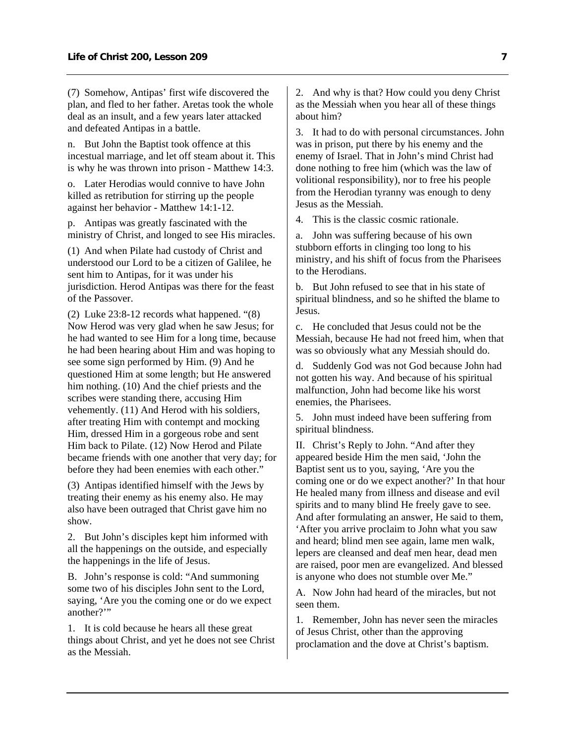(7) Somehow, Antipas' first wife discovered the plan, and fled to her father. Aretas took the whole deal as an insult, and a few years later attacked and defeated Antipas in a battle.

n. But John the Baptist took offence at this incestual marriage, and let off steam about it. This is why he was thrown into prison - Matthew 14:3.

o. Later Herodias would connive to have John killed as retribution for stirring up the people against her behavior - Matthew 14:1-12.

p. Antipas was greatly fascinated with the ministry of Christ, and longed to see His miracles.

(1) And when Pilate had custody of Christ and understood our Lord to be a citizen of Galilee, he sent him to Antipas, for it was under his jurisdiction. Herod Antipas was there for the feast of the Passover.

(2) Luke 23:8-12 records what happened. "(8) Now Herod was very glad when he saw Jesus; for he had wanted to see Him for a long time, because he had been hearing about Him and was hoping to see some sign performed by Him. (9) And he questioned Him at some length; but He answered him nothing. (10) And the chief priests and the scribes were standing there, accusing Him vehemently. (11) And Herod with his soldiers, after treating Him with contempt and mocking Him, dressed Him in a gorgeous robe and sent Him back to Pilate. (12) Now Herod and Pilate became friends with one another that very day; for before they had been enemies with each other."

(3) Antipas identified himself with the Jews by treating their enemy as his enemy also. He may also have been outraged that Christ gave him no show.

2. But John's disciples kept him informed with all the happenings on the outside, and especially the happenings in the life of Jesus.

B. John's response is cold: "And summoning some two of his disciples John sent to the Lord, saying, 'Are you the coming one or do we expect another?"

1. It is cold because he hears all these great things about Christ, and yet he does not see Christ as the Messiah.

2. And why is that? How could you deny Christ as the Messiah when you hear all of these things about him?

3. It had to do with personal circumstances. John was in prison, put there by his enemy and the enemy of Israel. That in John's mind Christ had done nothing to free him (which was the law of volitional responsibility), nor to free his people from the Herodian tyranny was enough to deny Jesus as the Messiah.

4. This is the classic cosmic rationale.

a. John was suffering because of his own stubborn efforts in clinging too long to his ministry, and his shift of focus from the Pharisees to the Herodians.

b. But John refused to see that in his state of spiritual blindness, and so he shifted the blame to Jesus.

c. He concluded that Jesus could not be the Messiah, because He had not freed him, when that was so obviously what any Messiah should do.

d. Suddenly God was not God because John had not gotten his way. And because of his spiritual malfunction, John had become like his worst enemies, the Pharisees.

5. John must indeed have been suffering from spiritual blindness.

II. Christ's Reply to John. "And after they appeared beside Him the men said, 'John the Baptist sent us to you, saying, 'Are you the coming one or do we expect another?' In that hour He healed many from illness and disease and evil spirits and to many blind He freely gave to see. And after formulating an answer, He said to them, 'After you arrive proclaim to John what you saw and heard; blind men see again, lame men walk, lepers are cleansed and deaf men hear, dead men are raised, poor men are evangelized. And blessed is anyone who does not stumble over Me."

A. Now John had heard of the miracles, but not seen them.

1. Remember, John has never seen the miracles of Jesus Christ, other than the approving proclamation and the dove at Christ's baptism.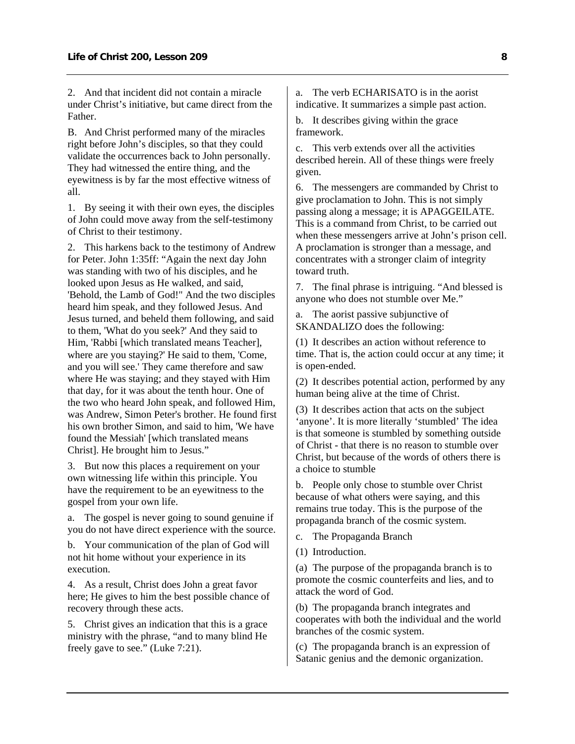2. And that incident did not contain a miracle under Christ's initiative, but came direct from the Father.

B. And Christ performed many of the miracles right before John's disciples, so that they could validate the occurrences back to John personally. They had witnessed the entire thing, and the eyewitness is by far the most effective witness of all.

1. By seeing it with their own eyes, the disciples of John could move away from the self-testimony of Christ to their testimony.

2. This harkens back to the testimony of Andrew for Peter. John 1:35ff: "Again the next day John was standing with two of his disciples, and he looked upon Jesus as He walked, and said, 'Behold, the Lamb of God!" And the two disciples heard him speak, and they followed Jesus. And Jesus turned, and beheld them following, and said to them, 'What do you seek?' And they said to Him, 'Rabbi [which translated means Teacher], where are you staying?' He said to them, 'Come, and you will see.' They came therefore and saw where He was staying; and they stayed with Him that day, for it was about the tenth hour. One of the two who heard John speak, and followed Him, was Andrew, Simon Peter's brother. He found first his own brother Simon, and said to him, 'We have found the Messiah' [which translated means Christ]. He brought him to Jesus."

3. But now this places a requirement on your own witnessing life within this principle. You have the requirement to be an eyewitness to the gospel from your own life.

a. The gospel is never going to sound genuine if you do not have direct experience with the source.

b. Your communication of the plan of God will not hit home without your experience in its execution.

4. As a result, Christ does John a great favor here; He gives to him the best possible chance of recovery through these acts.

5. Christ gives an indication that this is a grace ministry with the phrase, "and to many blind He freely gave to see." (Luke 7:21).

a. The verb ECHARISATO is in the aorist indicative. It summarizes a simple past action.

b. It describes giving within the grace framework.

c. This verb extends over all the activities described herein. All of these things were freely given.

6. The messengers are commanded by Christ to give proclamation to John. This is not simply passing along a message; it is APAGGEILATE. This is a command from Christ, to be carried out when these messengers arrive at John's prison cell. A proclamation is stronger than a message, and concentrates with a stronger claim of integrity toward truth.

7. The final phrase is intriguing. "And blessed is anyone who does not stumble over Me."

a. The aorist passive subjunctive of SKANDALIZO does the following:

(1) It describes an action without reference to time. That is, the action could occur at any time; it is open-ended.

(2) It describes potential action, performed by any human being alive at the time of Christ.

(3) It describes action that acts on the subject 'anyone'. It is more literally 'stumbled' The idea is that someone is stumbled by something outside of Christ - that there is no reason to stumble over Christ, but because of the words of others there is a choice to stumble

b. People only chose to stumble over Christ because of what others were saying, and this remains true today. This is the purpose of the propaganda branch of the cosmic system.

c. The Propaganda Branch

(1) Introduction.

(a) The purpose of the propaganda branch is to promote the cosmic counterfeits and lies, and to attack the word of God.

(b) The propaganda branch integrates and cooperates with both the individual and the world branches of the cosmic system.

(c) The propaganda branch is an expression of Satanic genius and the demonic organization.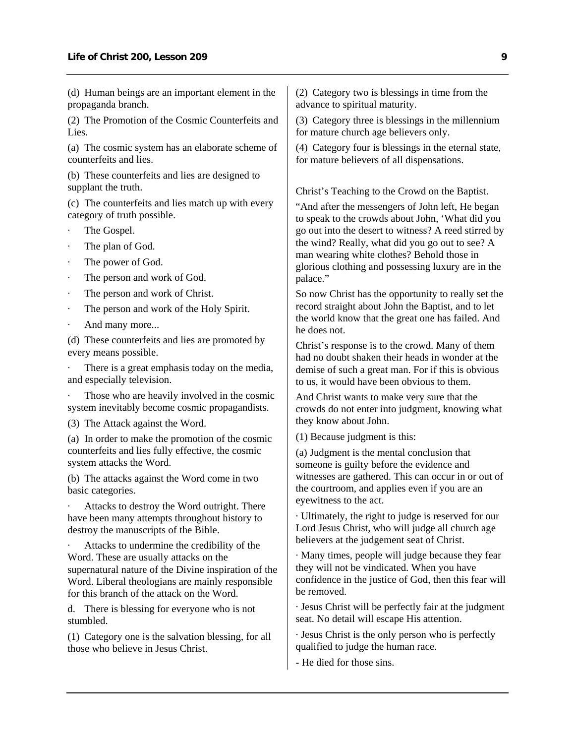(d) Human beings are an important element in the propaganda branch.

(2) The Promotion of the Cosmic Counterfeits and Lies.

(a) The cosmic system has an elaborate scheme of counterfeits and lies.

(b) These counterfeits and lies are designed to supplant the truth.

(c) The counterfeits and lies match up with every category of truth possible.

- The Gospel.
- The plan of God.
- The power of God.
- The person and work of God.
- The person and work of Christ.
- The person and work of the Holy Spirit.
- And many more...

(d) These counterfeits and lies are promoted by every means possible.

There is a great emphasis today on the media, and especially television.

Those who are heavily involved in the cosmic system inevitably become cosmic propagandists.

(3) The Attack against the Word.

(a) In order to make the promotion of the cosmic counterfeits and lies fully effective, the cosmic system attacks the Word.

(b) The attacks against the Word come in two basic categories.

Attacks to destroy the Word outright. There have been many attempts throughout history to destroy the manuscripts of the Bible.

Attacks to undermine the credibility of the Word. These are usually attacks on the supernatural nature of the Divine inspiration of the Word. Liberal theologians are mainly responsible for this branch of the attack on the Word.

d. There is blessing for everyone who is not stumbled.

(1) Category one is the salvation blessing, for all those who believe in Jesus Christ.

(2) Category two is blessings in time from the advance to spiritual maturity.

(3) Category three is blessings in the millennium for mature church age believers only.

(4) Category four is blessings in the eternal state, for mature believers of all dispensations.

Christ's Teaching to the Crowd on the Baptist.

"And after the messengers of John left, He began to speak to the crowds about John, 'What did you go out into the desert to witness? A reed stirred by the wind? Really, what did you go out to see? A man wearing white clothes? Behold those in glorious clothing and possessing luxury are in the palace."

So now Christ has the opportunity to really set the record straight about John the Baptist, and to let the world know that the great one has failed. And he does not.

Christ's response is to the crowd. Many of them had no doubt shaken their heads in wonder at the demise of such a great man. For if this is obvious to us, it would have been obvious to them.

And Christ wants to make very sure that the crowds do not enter into judgment, knowing what they know about John.

(1) Because judgment is this:

(a) Judgment is the mental conclusion that someone is guilty before the evidence and witnesses are gathered. This can occur in or out of the courtroom, and applies even if you are an eyewitness to the act.

· Ultimately, the right to judge is reserved for our Lord Jesus Christ, who will judge all church age believers at the judgement seat of Christ.

· Many times, people will judge because they fear they will not be vindicated. When you have confidence in the justice of God, then this fear will be removed.

· Jesus Christ will be perfectly fair at the judgment seat. No detail will escape His attention.

· Jesus Christ is the only person who is perfectly qualified to judge the human race.

- He died for those sins.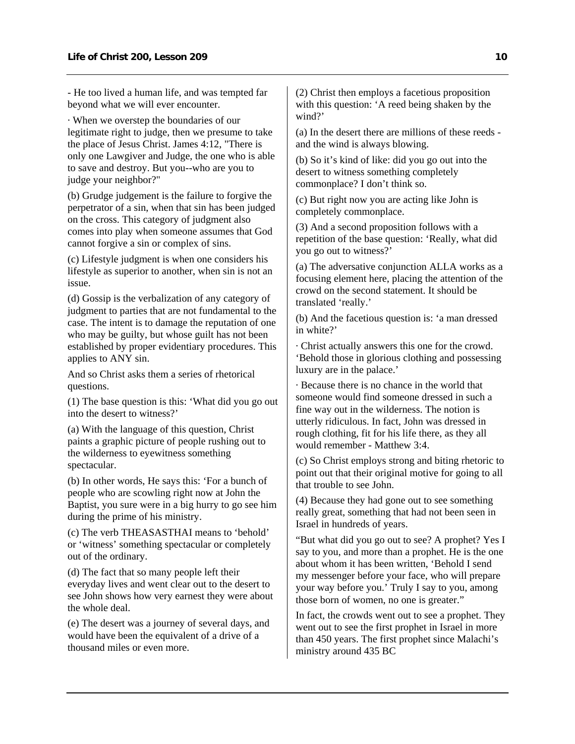- He too lived a human life, and was tempted far beyond what we will ever encounter.

· When we overstep the boundaries of our legitimate right to judge, then we presume to take the place of Jesus Christ. James 4:12, "There is only one Lawgiver and Judge, the one who is able to save and destroy. But you--who are you to judge your neighbor?"

(b) Grudge judgement is the failure to forgive the perpetrator of a sin, when that sin has been judged on the cross. This category of judgment also comes into play when someone assumes that God cannot forgive a sin or complex of sins.

(c) Lifestyle judgment is when one considers his lifestyle as superior to another, when sin is not an issue.

(d) Gossip is the verbalization of any category of judgment to parties that are not fundamental to the case. The intent is to damage the reputation of one who may be guilty, but whose guilt has not been established by proper evidentiary procedures. This applies to ANY sin.

And so Christ asks them a series of rhetorical questions.

(1) The base question is this: 'What did you go out into the desert to witness?'

(a) With the language of this question, Christ paints a graphic picture of people rushing out to the wilderness to eyewitness something spectacular.

(b) In other words, He says this: 'For a bunch of people who are scowling right now at John the Baptist, you sure were in a big hurry to go see him during the prime of his ministry.

(c) The verb THEASASTHAI means to 'behold' or 'witness' something spectacular or completely out of the ordinary.

(d) The fact that so many people left their everyday lives and went clear out to the desert to see John shows how very earnest they were about the whole deal.

(e) The desert was a journey of several days, and would have been the equivalent of a drive of a thousand miles or even more.

(2) Christ then employs a facetious proposition with this question: 'A reed being shaken by the wind?'

(a) In the desert there are millions of these reeds and the wind is always blowing.

(b) So it's kind of like: did you go out into the desert to witness something completely commonplace? I don't think so.

(c) But right now you are acting like John is completely commonplace.

(3) And a second proposition follows with a repetition of the base question: 'Really, what did you go out to witness?'

(a) The adversative conjunction ALLA works as a focusing element here, placing the attention of the crowd on the second statement. It should be translated 'really.'

(b) And the facetious question is: 'a man dressed in white?'

· Christ actually answers this one for the crowd. 'Behold those in glorious clothing and possessing luxury are in the palace.'

· Because there is no chance in the world that someone would find someone dressed in such a fine way out in the wilderness. The notion is utterly ridiculous. In fact, John was dressed in rough clothing, fit for his life there, as they all would remember - Matthew 3:4.

(c) So Christ employs strong and biting rhetoric to point out that their original motive for going to all that trouble to see John.

(4) Because they had gone out to see something really great, something that had not been seen in Israel in hundreds of years.

"But what did you go out to see? A prophet? Yes I say to you, and more than a prophet. He is the one about whom it has been written, 'Behold I send my messenger before your face, who will prepare your way before you.' Truly I say to you, among those born of women, no one is greater."

In fact, the crowds went out to see a prophet. They went out to see the first prophet in Israel in more than 450 years. The first prophet since Malachi's ministry around 435 BC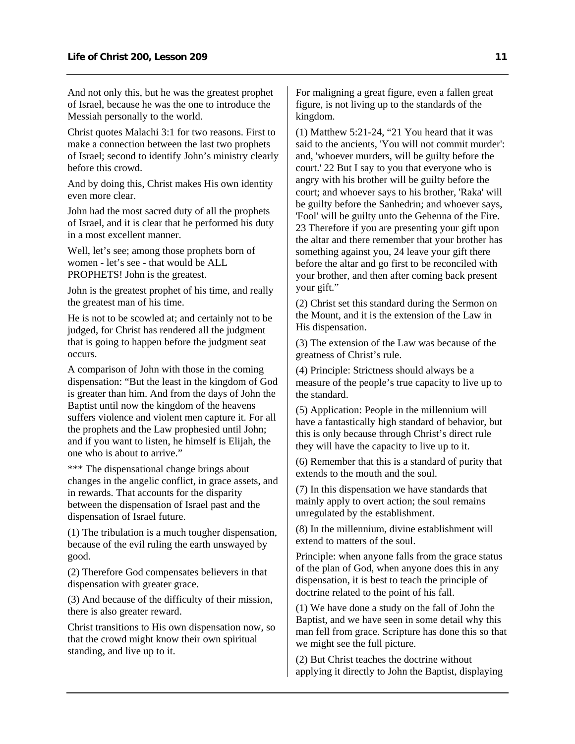And not only this, but he was the greatest prophet of Israel, because he was the one to introduce the Messiah personally to the world.

Christ quotes Malachi 3:1 for two reasons. First to make a connection between the last two prophets of Israel; second to identify John's ministry clearly before this crowd.

And by doing this, Christ makes His own identity even more clear.

John had the most sacred duty of all the prophets of Israel, and it is clear that he performed his duty in a most excellent manner.

Well, let's see; among those prophets born of women - let's see - that would be ALL PROPHETS! John is the greatest.

John is the greatest prophet of his time, and really the greatest man of his time.

He is not to be scowled at; and certainly not to be judged, for Christ has rendered all the judgment that is going to happen before the judgment seat occurs.

A comparison of John with those in the coming dispensation: "But the least in the kingdom of God is greater than him. And from the days of John the Baptist until now the kingdom of the heavens suffers violence and violent men capture it. For all the prophets and the Law prophesied until John; and if you want to listen, he himself is Elijah, the one who is about to arrive."

\*\*\* The dispensational change brings about changes in the angelic conflict, in grace assets, and in rewards. That accounts for the disparity between the dispensation of Israel past and the dispensation of Israel future.

(1) The tribulation is a much tougher dispensation, because of the evil ruling the earth unswayed by good.

(2) Therefore God compensates believers in that dispensation with greater grace.

(3) And because of the difficulty of their mission, there is also greater reward.

Christ transitions to His own dispensation now, so that the crowd might know their own spiritual standing, and live up to it.

For maligning a great figure, even a fallen great figure, is not living up to the standards of the kingdom.

(1) Matthew 5:21-24, "21 You heard that it was said to the ancients, 'You will not commit murder': and, 'whoever murders, will be guilty before the court.' 22 But I say to you that everyone who is angry with his brother will be guilty before the court; and whoever says to his brother, 'Raka' will be guilty before the Sanhedrin; and whoever says, 'Fool' will be guilty unto the Gehenna of the Fire. 23 Therefore if you are presenting your gift upon the altar and there remember that your brother has something against you, 24 leave your gift there before the altar and go first to be reconciled with your brother, and then after coming back present your gift."

(2) Christ set this standard during the Sermon on the Mount, and it is the extension of the Law in His dispensation.

(3) The extension of the Law was because of the greatness of Christ's rule.

(4) Principle: Strictness should always be a measure of the people's true capacity to live up to the standard.

(5) Application: People in the millennium will have a fantastically high standard of behavior, but this is only because through Christ's direct rule they will have the capacity to live up to it.

(6) Remember that this is a standard of purity that extends to the mouth and the soul.

(7) In this dispensation we have standards that mainly apply to overt action; the soul remains unregulated by the establishment.

(8) In the millennium, divine establishment will extend to matters of the soul.

Principle: when anyone falls from the grace status of the plan of God, when anyone does this in any dispensation, it is best to teach the principle of doctrine related to the point of his fall.

(1) We have done a study on the fall of John the Baptist, and we have seen in some detail why this man fell from grace. Scripture has done this so that we might see the full picture.

(2) But Christ teaches the doctrine without applying it directly to John the Baptist, displaying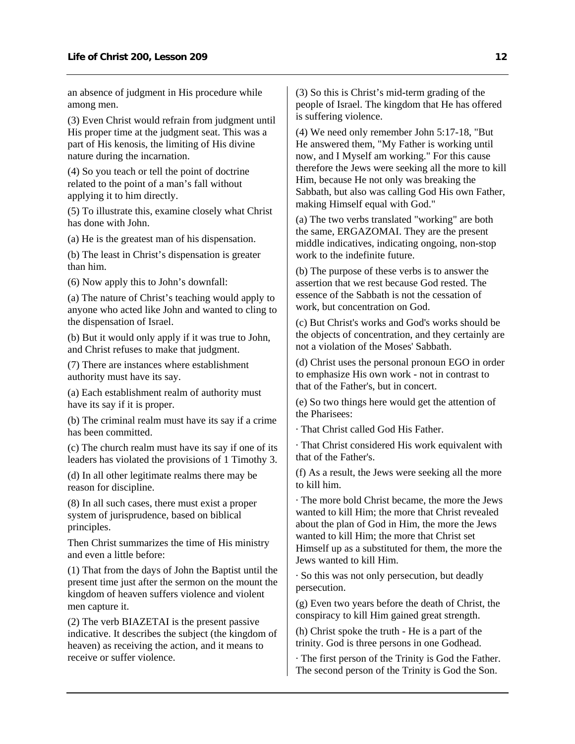an absence of judgment in His procedure while among men.

(3) Even Christ would refrain from judgment until His proper time at the judgment seat. This was a part of His kenosis, the limiting of His divine nature during the incarnation.

(4) So you teach or tell the point of doctrine related to the point of a man's fall without applying it to him directly.

(5) To illustrate this, examine closely what Christ has done with John.

(a) He is the greatest man of his dispensation.

(b) The least in Christ's dispensation is greater than him.

(6) Now apply this to John's downfall:

(a) The nature of Christ's teaching would apply to anyone who acted like John and wanted to cling to the dispensation of Israel.

(b) But it would only apply if it was true to John, and Christ refuses to make that judgment.

(7) There are instances where establishment authority must have its say.

(a) Each establishment realm of authority must have its say if it is proper.

(b) The criminal realm must have its say if a crime has been committed.

(c) The church realm must have its say if one of its leaders has violated the provisions of 1 Timothy 3.

(d) In all other legitimate realms there may be reason for discipline.

(8) In all such cases, there must exist a proper system of jurisprudence, based on biblical principles.

Then Christ summarizes the time of His ministry and even a little before:

(1) That from the days of John the Baptist until the present time just after the sermon on the mount the kingdom of heaven suffers violence and violent men capture it.

(2) The verb BIAZETAI is the present passive indicative. It describes the subject (the kingdom of heaven) as receiving the action, and it means to receive or suffer violence.

(3) So this is Christ's mid-term grading of the people of Israel. The kingdom that He has offered is suffering violence.

(4) We need only remember John 5:17-18, "But He answered them, "My Father is working until now, and I Myself am working." For this cause therefore the Jews were seeking all the more to kill Him, because He not only was breaking the Sabbath, but also was calling God His own Father, making Himself equal with God."

(a) The two verbs translated "working" are both the same, ERGAZOMAI. They are the present middle indicatives, indicating ongoing, non-stop work to the indefinite future.

(b) The purpose of these verbs is to answer the assertion that we rest because God rested. The essence of the Sabbath is not the cessation of work, but concentration on God.

(c) But Christ's works and God's works should be the objects of concentration, and they certainly are not a violation of the Moses' Sabbath.

(d) Christ uses the personal pronoun EGO in order to emphasize His own work - not in contrast to that of the Father's, but in concert.

(e) So two things here would get the attention of the Pharisees:

· That Christ called God His Father.

· That Christ considered His work equivalent with that of the Father's.

(f) As a result, the Jews were seeking all the more to kill him.

· The more bold Christ became, the more the Jews wanted to kill Him; the more that Christ revealed about the plan of God in Him, the more the Jews wanted to kill Him; the more that Christ set Himself up as a substituted for them, the more the Jews wanted to kill Him.

· So this was not only persecution, but deadly persecution.

(g) Even two years before the death of Christ, the conspiracy to kill Him gained great strength.

(h) Christ spoke the truth - He is a part of the trinity. God is three persons in one Godhead.

· The first person of the Trinity is God the Father. The second person of the Trinity is God the Son.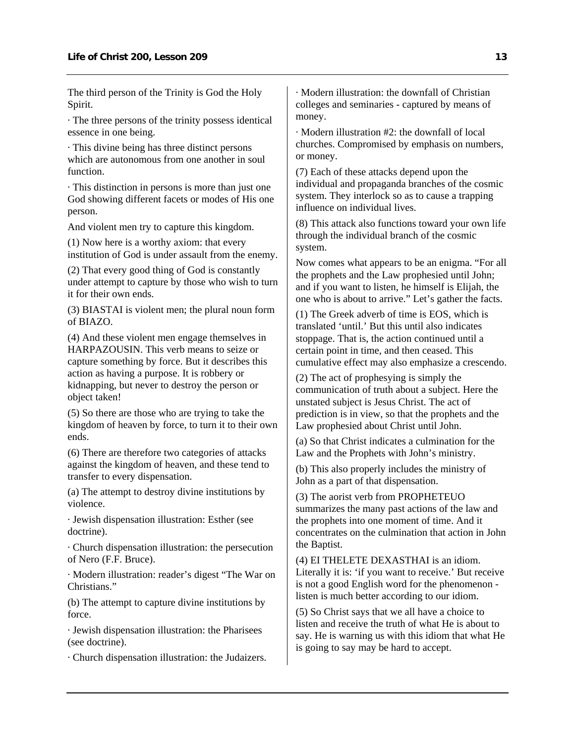The third person of the Trinity is God the Holy Spirit.

· The three persons of the trinity possess identical essence in one being.

· This divine being has three distinct persons which are autonomous from one another in soul function.

· This distinction in persons is more than just one God showing different facets or modes of His one person.

And violent men try to capture this kingdom.

(1) Now here is a worthy axiom: that every institution of God is under assault from the enemy.

(2) That every good thing of God is constantly under attempt to capture by those who wish to turn it for their own ends.

(3) BIASTAI is violent men; the plural noun form of BIAZO.

(4) And these violent men engage themselves in HARPAZOUSIN. This verb means to seize or capture something by force. But it describes this action as having a purpose. It is robbery or kidnapping, but never to destroy the person or object taken!

(5) So there are those who are trying to take the kingdom of heaven by force, to turn it to their own ends.

(6) There are therefore two categories of attacks against the kingdom of heaven, and these tend to transfer to every dispensation.

(a) The attempt to destroy divine institutions by violence.

· Jewish dispensation illustration: Esther (see doctrine).

· Church dispensation illustration: the persecution of Nero (F.F. Bruce).

· Modern illustration: reader's digest "The War on Christians."

(b) The attempt to capture divine institutions by force.

· Jewish dispensation illustration: the Pharisees (see doctrine).

· Church dispensation illustration: the Judaizers.

· Modern illustration: the downfall of Christian colleges and seminaries - captured by means of money.

· Modern illustration #2: the downfall of local churches. Compromised by emphasis on numbers, or money.

(7) Each of these attacks depend upon the individual and propaganda branches of the cosmic system. They interlock so as to cause a trapping influence on individual lives.

(8) This attack also functions toward your own life through the individual branch of the cosmic system.

Now comes what appears to be an enigma. "For all the prophets and the Law prophesied until John; and if you want to listen, he himself is Elijah, the one who is about to arrive." Let's gather the facts.

(1) The Greek adverb of time is EOS, which is translated 'until.' But this until also indicates stoppage. That is, the action continued until a certain point in time, and then ceased. This cumulative effect may also emphasize a crescendo.

(2) The act of prophesying is simply the communication of truth about a subject. Here the unstated subject is Jesus Christ. The act of prediction is in view, so that the prophets and the Law prophesied about Christ until John.

(a) So that Christ indicates a culmination for the Law and the Prophets with John's ministry.

(b) This also properly includes the ministry of John as a part of that dispensation.

(3) The aorist verb from PROPHETEUO summarizes the many past actions of the law and the prophets into one moment of time. And it concentrates on the culmination that action in John the Baptist.

(4) EI THELETE DEXASTHAI is an idiom. Literally it is: 'if you want to receive.' But receive is not a good English word for the phenomenon listen is much better according to our idiom.

(5) So Christ says that we all have a choice to listen and receive the truth of what He is about to say. He is warning us with this idiom that what He is going to say may be hard to accept.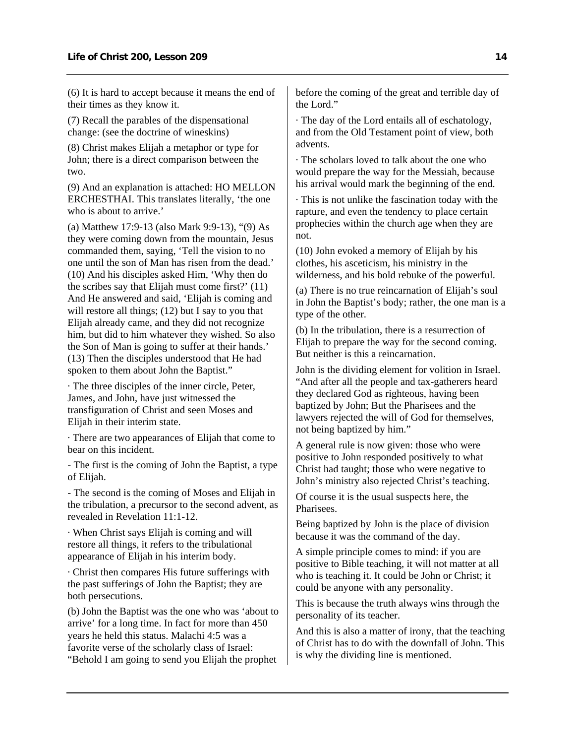(6) It is hard to accept because it means the end of their times as they know it.

(7) Recall the parables of the dispensational change: (see the doctrine of wineskins)

(8) Christ makes Elijah a metaphor or type for John; there is a direct comparison between the two.

(9) And an explanation is attached: HO MELLON ERCHESTHAI. This translates literally, 'the one who is about to arrive.'

(a) Matthew 17:9-13 (also Mark 9:9-13), "(9) As they were coming down from the mountain, Jesus commanded them, saying, 'Tell the vision to no one until the son of Man has risen from the dead.' (10) And his disciples asked Him, 'Why then do the scribes say that Elijah must come first?' (11) And He answered and said, 'Elijah is coming and will restore all things; (12) but I say to you that Elijah already came, and they did not recognize him, but did to him whatever they wished. So also the Son of Man is going to suffer at their hands.' (13) Then the disciples understood that He had spoken to them about John the Baptist."

· The three disciples of the inner circle, Peter, James, and John, have just witnessed the transfiguration of Christ and seen Moses and Elijah in their interim state.

· There are two appearances of Elijah that come to bear on this incident.

- The first is the coming of John the Baptist, a type of Elijah.

- The second is the coming of Moses and Elijah in the tribulation, a precursor to the second advent, as revealed in Revelation 11:1-12.

· When Christ says Elijah is coming and will restore all things, it refers to the tribulational appearance of Elijah in his interim body.

· Christ then compares His future sufferings with the past sufferings of John the Baptist; they are both persecutions.

(b) John the Baptist was the one who was 'about to arrive' for a long time. In fact for more than 450 years he held this status. Malachi 4:5 was a favorite verse of the scholarly class of Israel: "Behold I am going to send you Elijah the prophet

before the coming of the great and terrible day of the Lord."

· The day of the Lord entails all of eschatology, and from the Old Testament point of view, both advents.

· The scholars loved to talk about the one who would prepare the way for the Messiah, because his arrival would mark the beginning of the end.

· This is not unlike the fascination today with the rapture, and even the tendency to place certain prophecies within the church age when they are not.

(10) John evoked a memory of Elijah by his clothes, his asceticism, his ministry in the wilderness, and his bold rebuke of the powerful.

(a) There is no true reincarnation of Elijah's soul in John the Baptist's body; rather, the one man is a type of the other.

(b) In the tribulation, there is a resurrection of Elijah to prepare the way for the second coming. But neither is this a reincarnation.

John is the dividing element for volition in Israel. "And after all the people and tax-gatherers heard they declared God as righteous, having been baptized by John; But the Pharisees and the lawyers rejected the will of God for themselves, not being baptized by him."

A general rule is now given: those who were positive to John responded positively to what Christ had taught; those who were negative to John's ministry also rejected Christ's teaching.

Of course it is the usual suspects here, the Pharisees.

Being baptized by John is the place of division because it was the command of the day.

A simple principle comes to mind: if you are positive to Bible teaching, it will not matter at all who is teaching it. It could be John or Christ; it could be anyone with any personality.

This is because the truth always wins through the personality of its teacher.

And this is also a matter of irony, that the teaching of Christ has to do with the downfall of John. This is why the dividing line is mentioned.